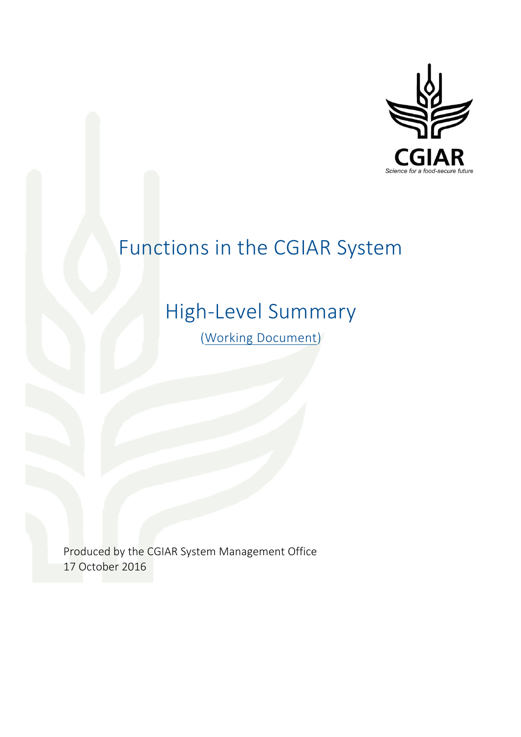

# Functions in the CGIAR System

## High-Level Summary

(Working Document)

Produced by the CGIAR System Management Office 17 October 2016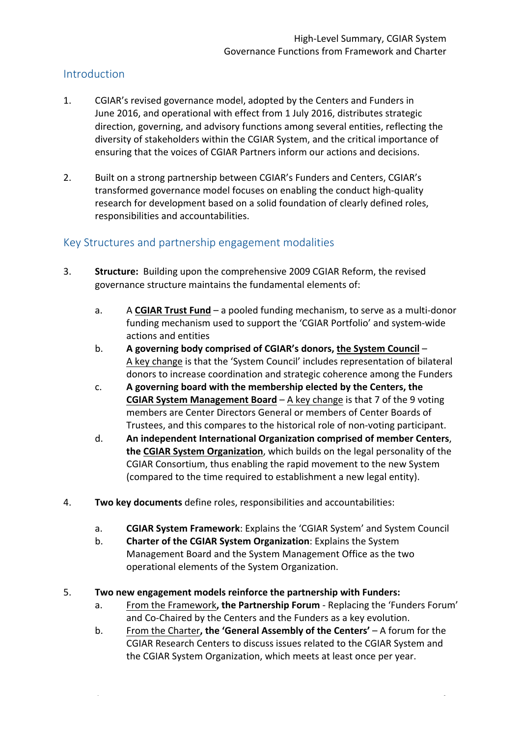## Introduction

- 1. CGIAR's revised governance model, adopted by the Centers and Funders in June 2016, and operational with effect from 1 July 2016, distributes strategic direction, governing, and advisory functions among several entities, reflecting the diversity of stakeholders within the CGIAR System, and the critical importance of ensuring that the voices of CGIAR Partners inform our actions and decisions.
- 2. Built on a strong partnership between CGIAR's Funders and Centers, CGIAR's transformed governance model focuses on enabling the conduct high-quality research for development based on a solid foundation of clearly defined roles, responsibilities and accountabilities.

### Key Structures and partnership engagement modalities

- 3. **Structure:** Building upon the comprehensive 2009 CGIAR Reform, the revised governance structure maintains the fundamental elements of:
	- a. A CGIAR Trust Fund a pooled funding mechanism, to serve as a multi-donor funding mechanism used to support the 'CGIAR Portfolio' and system-wide actions and entities
	- b. **A** governing body comprised of CGIAR's donors, the System Council A key change is that the 'System Council' includes representation of bilateral donors to increase coordination and strategic coherence among the Funders
	- c. **A** governing board with the membership elected by the Centers, the **CGIAR System Management Board** – A key change is that 7 of the 9 voting members are Center Directors General or members of Center Boards of Trustees, and this compares to the historical role of non-voting participant.
	- d. An independent International Organization comprised of member Centers, **the CGIAR System Organization**, which builds on the legal personality of the CGIAR Consortium, thus enabling the rapid movement to the new System (compared to the time required to establishment a new legal entity).
- 4. Two key documents define roles, responsibilities and accountabilities:
	- a. **CGIAR System Framework**: Explains the 'CGIAR System' and System Council
	- b. **Charter of the CGIAR System Organization**: Explains the System Management Board and the System Management Office as the two operational elements of the System Organization.
- 5. Two new engagement models reinforce the partnership with Funders:
	- a. From the Framework, the Partnership Forum Replacing the 'Funders Forum' and Co-Chaired by the Centers and the Funders as a key evolution.
	- b. From the Charter, the 'General Assembly of the Centers' A forum for the CGIAR Research Centers to discuss issues related to the CGIAR System and the CGIAR System Organization, which meets at least once per year.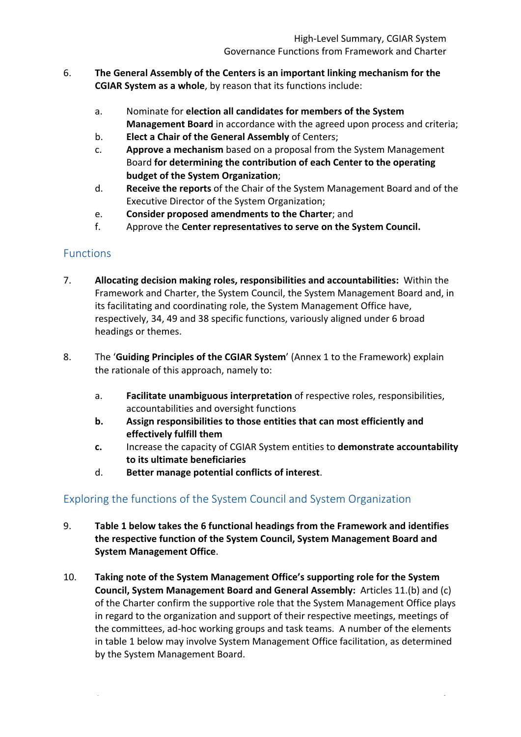- 6. **The General Assembly of the Centers is an important linking mechanism for the CGIAR System as a whole**, by reason that its functions include:
	- a. Nominate for **election all candidates for members of the System Management Board** in accordance with the agreed upon process and criteria;
	- b. **Elect a Chair of the General Assembly** of Centers;
	- c. **Approve a mechanism** based on a proposal from the System Management Board for determining the contribution of each Center to the operating **budget of the System Organization;**
	- d. **Receive the reports** of the Chair of the System Management Board and of the Executive Director of the System Organization;
	- e. **Consider proposed amendments to the Charter**; and
	- f. Approve the **Center representatives to serve on the System Council.**

## Functions

- 7. **Allocating decision making roles, responsibilities and accountabilities:** Within the Framework and Charter, the System Council, the System Management Board and, in its facilitating and coordinating role, the System Management Office have, respectively, 34, 49 and 38 specific functions, variously aligned under 6 broad headings or themes.
- 8. The '**Guiding Principles of the CGIAR System'** (Annex 1 to the Framework) explain the rationale of this approach, namely to:
	- a. **Facilitate unambiguous interpretation** of respective roles, responsibilities, accountabilities and oversight functions
	- **b.** Assign responsibilities to those entities that can most efficiently and **effectively fulfill them**
	- **c.** Increase the capacity of CGIAR System entities to **demonstrate accountability to its ultimate beneficiaries**
	- d. **Better manage potential conflicts of interest.**

## Exploring the functions of the System Council and System Organization

- 9. Table 1 below takes the 6 functional headings from the Framework and identifies the respective function of the System Council, System Management Board and **System Management Office.**
- 10. Taking note of the System Management Office's supporting role for the System **Council, System Management Board and General Assembly:** Articles 11.(b) and (c) of the Charter confirm the supportive role that the System Management Office plays in regard to the organization and support of their respective meetings, meetings of the committees, ad-hoc working groups and task teams. A number of the elements in table 1 below may involve System Management Office facilitation, as determined by the System Management Board.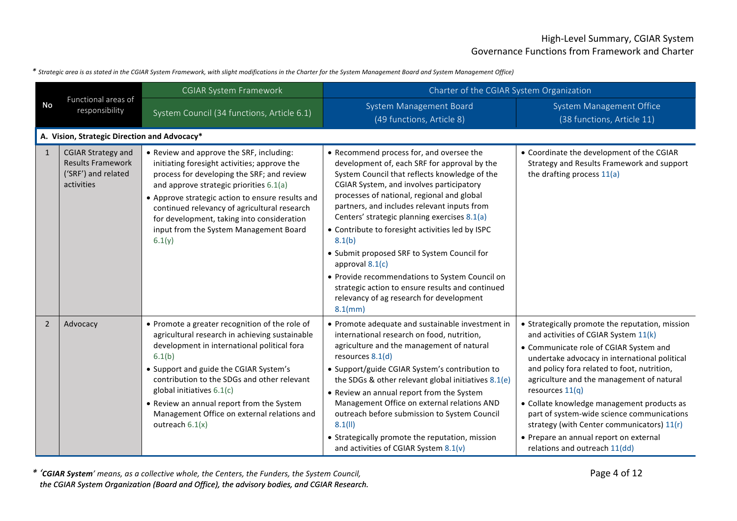#### *\* Strategic area is as stated in the CGIAR System Framework, with slight modifications in the Charter for the System Management Board and System Management Office)*

|                | Functional areas of<br>responsibility                                                      | <b>CGIAR System Framework</b>                                                                                                                                                                                                                                                                                                                                                                    | Charter of the CGIAR System Organization                                                                                                                                                                                                                                                                                                                                                                                                                                                                                                                                                                                             |                                                                                                                                                                                                                                                                                                                                                                                                                                                                                                                          |
|----------------|--------------------------------------------------------------------------------------------|--------------------------------------------------------------------------------------------------------------------------------------------------------------------------------------------------------------------------------------------------------------------------------------------------------------------------------------------------------------------------------------------------|--------------------------------------------------------------------------------------------------------------------------------------------------------------------------------------------------------------------------------------------------------------------------------------------------------------------------------------------------------------------------------------------------------------------------------------------------------------------------------------------------------------------------------------------------------------------------------------------------------------------------------------|--------------------------------------------------------------------------------------------------------------------------------------------------------------------------------------------------------------------------------------------------------------------------------------------------------------------------------------------------------------------------------------------------------------------------------------------------------------------------------------------------------------------------|
| No             |                                                                                            | System Council (34 functions, Article 6.1)                                                                                                                                                                                                                                                                                                                                                       | System Management Board<br>(49 functions, Article 8)                                                                                                                                                                                                                                                                                                                                                                                                                                                                                                                                                                                 | <b>System Management Office</b><br>(38 functions, Article 11)                                                                                                                                                                                                                                                                                                                                                                                                                                                            |
|                | A. Vision, Strategic Direction and Advocacy*                                               |                                                                                                                                                                                                                                                                                                                                                                                                  |                                                                                                                                                                                                                                                                                                                                                                                                                                                                                                                                                                                                                                      |                                                                                                                                                                                                                                                                                                                                                                                                                                                                                                                          |
| $\mathbf{1}$   | <b>CGIAR Strategy and</b><br><b>Results Framework</b><br>('SRF') and related<br>activities | • Review and approve the SRF, including:<br>initiating foresight activities; approve the<br>process for developing the SRF; and review<br>and approve strategic priorities 6.1(a)<br>• Approve strategic action to ensure results and<br>continued relevancy of agricultural research<br>for development, taking into consideration<br>input from the System Management Board<br>6.1(y)          | • Recommend process for, and oversee the<br>development of, each SRF for approval by the<br>System Council that reflects knowledge of the<br>CGIAR System, and involves participatory<br>processes of national, regional and global<br>partners, and includes relevant inputs from<br>Centers' strategic planning exercises 8.1(a)<br>• Contribute to foresight activities led by ISPC<br>8.1(b)<br>• Submit proposed SRF to System Council for<br>approval $8.1(c)$<br>• Provide recommendations to System Council on<br>strategic action to ensure results and continued<br>relevancy of ag research for development<br>$8.1$ (mm) | • Coordinate the development of the CGIAR<br>Strategy and Results Framework and support<br>the drafting process 11(a)                                                                                                                                                                                                                                                                                                                                                                                                    |
| $\overline{2}$ | Advocacy                                                                                   | • Promote a greater recognition of the role of<br>agricultural research in achieving sustainable<br>development in international political fora<br>6.1(b)<br>• Support and guide the CGIAR System's<br>contribution to the SDGs and other relevant<br>global initiatives 6.1(c)<br>• Review an annual report from the System<br>Management Office on external relations and<br>outreach $6.1(x)$ | • Promote adequate and sustainable investment in<br>international research on food, nutrition,<br>agriculture and the management of natural<br>resources 8.1(d)<br>• Support/guide CGIAR System's contribution to<br>the SDGs & other relevant global initiatives 8.1(e)<br>• Review an annual report from the System<br>Management Office on external relations AND<br>outreach before submission to System Council<br>8.1(11)<br>• Strategically promote the reputation, mission<br>and activities of CGIAR System 8.1(v)                                                                                                          | • Strategically promote the reputation, mission<br>and activities of CGIAR System 11(k)<br>• Communicate role of CGIAR System and<br>undertake advocacy in international political<br>and policy fora related to foot, nutrition,<br>agriculture and the management of natural<br>resources $11(q)$<br>• Collate knowledge management products as<br>part of system-wide science communications<br>strategy (with Center communicators) 11(r)<br>• Prepare an annual report on external<br>relations and outreach 11(dd) |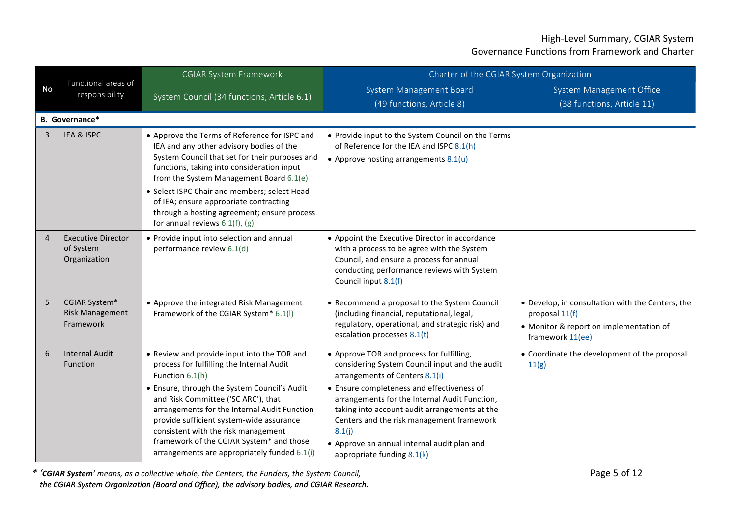| <b>No</b>      | Functional areas of<br>responsibility                  | <b>CGIAR System Framework</b>                                                                                                                                                                                                                                                                                                                                                                                                     | Charter of the CGIAR System Organization                                                                                                                                                                                                                                                                                                                                                                          |                                                                                                                                   |  |  |  |
|----------------|--------------------------------------------------------|-----------------------------------------------------------------------------------------------------------------------------------------------------------------------------------------------------------------------------------------------------------------------------------------------------------------------------------------------------------------------------------------------------------------------------------|-------------------------------------------------------------------------------------------------------------------------------------------------------------------------------------------------------------------------------------------------------------------------------------------------------------------------------------------------------------------------------------------------------------------|-----------------------------------------------------------------------------------------------------------------------------------|--|--|--|
|                |                                                        | System Council (34 functions, Article 6.1)                                                                                                                                                                                                                                                                                                                                                                                        | System Management Board<br>(49 functions, Article 8)                                                                                                                                                                                                                                                                                                                                                              | System Management Office<br>(38 functions, Article 11)                                                                            |  |  |  |
|                | <b>B.</b> Governance*                                  |                                                                                                                                                                                                                                                                                                                                                                                                                                   |                                                                                                                                                                                                                                                                                                                                                                                                                   |                                                                                                                                   |  |  |  |
| $\overline{3}$ | IEA & ISPC                                             | • Approve the Terms of Reference for ISPC and<br>IEA and any other advisory bodies of the<br>System Council that set for their purposes and<br>functions, taking into consideration input<br>from the System Management Board 6.1(e)<br>• Select ISPC Chair and members; select Head<br>of IEA; ensure appropriate contracting<br>through a hosting agreement; ensure process<br>for annual reviews $6.1(f)$ , $(g)$              | • Provide input to the System Council on the Terms<br>of Reference for the IEA and ISPC 8.1(h)<br>• Approve hosting arrangements $8.1(u)$                                                                                                                                                                                                                                                                         |                                                                                                                                   |  |  |  |
| $\overline{4}$ | <b>Executive Director</b><br>of System<br>Organization | • Provide input into selection and annual<br>performance review 6.1(d)                                                                                                                                                                                                                                                                                                                                                            | • Appoint the Executive Director in accordance<br>with a process to be agree with the System<br>Council, and ensure a process for annual<br>conducting performance reviews with System<br>Council input 8.1(f)                                                                                                                                                                                                    |                                                                                                                                   |  |  |  |
| 5              | CGIAR System*<br><b>Risk Management</b><br>Framework   | • Approve the integrated Risk Management<br>Framework of the CGIAR System* 6.1(I)                                                                                                                                                                                                                                                                                                                                                 | • Recommend a proposal to the System Council<br>(including financial, reputational, legal,<br>regulatory, operational, and strategic risk) and<br>escalation processes 8.1(t)                                                                                                                                                                                                                                     | • Develop, in consultation with the Centers, the<br>proposal 11(f)<br>• Monitor & report on implementation of<br>framework 11(ee) |  |  |  |
| 6              | <b>Internal Audit</b><br>Function                      | • Review and provide input into the TOR and<br>process for fulfilling the Internal Audit<br>Function 6.1(h)<br>• Ensure, through the System Council's Audit<br>and Risk Committee ('SC ARC'), that<br>arrangements for the Internal Audit Function<br>provide sufficient system-wide assurance<br>consistent with the risk management<br>framework of the CGIAR System* and those<br>arrangements are appropriately funded 6.1(i) | • Approve TOR and process for fulfilling,<br>considering System Council input and the audit<br>arrangements of Centers 8.1(i)<br>• Ensure completeness and effectiveness of<br>arrangements for the Internal Audit Function,<br>taking into account audit arrangements at the<br>Centers and the risk management framework<br>8.1(j)<br>• Approve an annual internal audit plan and<br>appropriate funding 8.1(k) | • Coordinate the development of the proposal<br>11(g)                                                                             |  |  |  |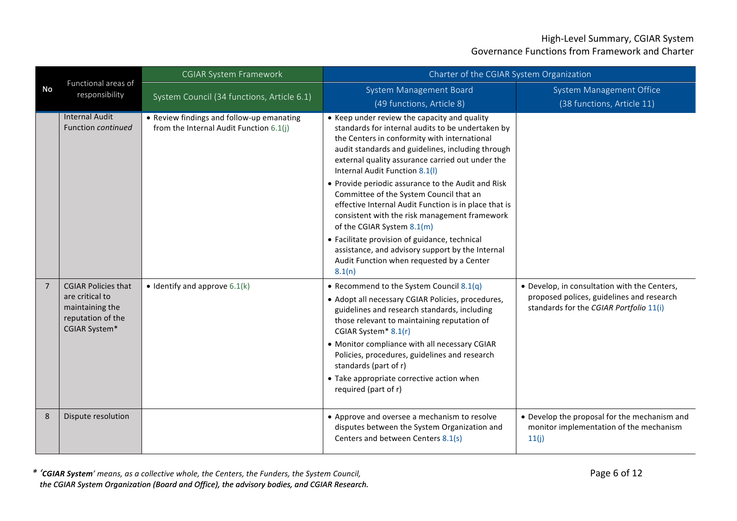|                | Functional areas of<br>responsibility                                                                  | <b>CGIAR System Framework</b>                                                        | Charter of the CGIAR System Organization                                                                                                                                                                                                                                                                                                                                                                                                                                                                                                                                                                                                                                                |                                                                                                                                      |
|----------------|--------------------------------------------------------------------------------------------------------|--------------------------------------------------------------------------------------|-----------------------------------------------------------------------------------------------------------------------------------------------------------------------------------------------------------------------------------------------------------------------------------------------------------------------------------------------------------------------------------------------------------------------------------------------------------------------------------------------------------------------------------------------------------------------------------------------------------------------------------------------------------------------------------------|--------------------------------------------------------------------------------------------------------------------------------------|
| <b>No</b>      |                                                                                                        | System Council (34 functions, Article 6.1)                                           | System Management Board<br>(49 functions, Article 8)                                                                                                                                                                                                                                                                                                                                                                                                                                                                                                                                                                                                                                    | System Management Office<br>(38 functions, Article 11)                                                                               |
|                | <b>Internal Audit</b><br><b>Function continued</b>                                                     | • Review findings and follow-up emanating<br>from the Internal Audit Function 6.1(j) | • Keep under review the capacity and quality<br>standards for internal audits to be undertaken by<br>the Centers in conformity with international<br>audit standards and guidelines, including through<br>external quality assurance carried out under the<br>Internal Audit Function 8.1(I)<br>• Provide periodic assurance to the Audit and Risk<br>Committee of the System Council that an<br>effective Internal Audit Function is in place that is<br>consistent with the risk management framework<br>of the CGIAR System 8.1(m)<br>• Facilitate provision of guidance, technical<br>assistance, and advisory support by the Internal<br>Audit Function when requested by a Center |                                                                                                                                      |
| $\overline{7}$ | <b>CGIAR Policies that</b><br>are critical to<br>maintaining the<br>reputation of the<br>CGIAR System* | $\bullet$ Identify and approve 6.1(k)                                                | 8.1(n)<br>• Recommend to the System Council 8.1(q)<br>• Adopt all necessary CGIAR Policies, procedures,<br>guidelines and research standards, including<br>those relevant to maintaining reputation of<br>CGIAR System* 8.1(r)<br>• Monitor compliance with all necessary CGIAR<br>Policies, procedures, guidelines and research<br>standards (part of r)<br>• Take appropriate corrective action when<br>required (part of r)                                                                                                                                                                                                                                                          | • Develop, in consultation with the Centers,<br>proposed polices, guidelines and research<br>standards for the CGIAR Portfolio 11(i) |
| 8              | Dispute resolution                                                                                     |                                                                                      | • Approve and oversee a mechanism to resolve<br>disputes between the System Organization and<br>Centers and between Centers 8.1(s)                                                                                                                                                                                                                                                                                                                                                                                                                                                                                                                                                      | • Develop the proposal for the mechanism and<br>monitor implementation of the mechanism<br>11(j)                                     |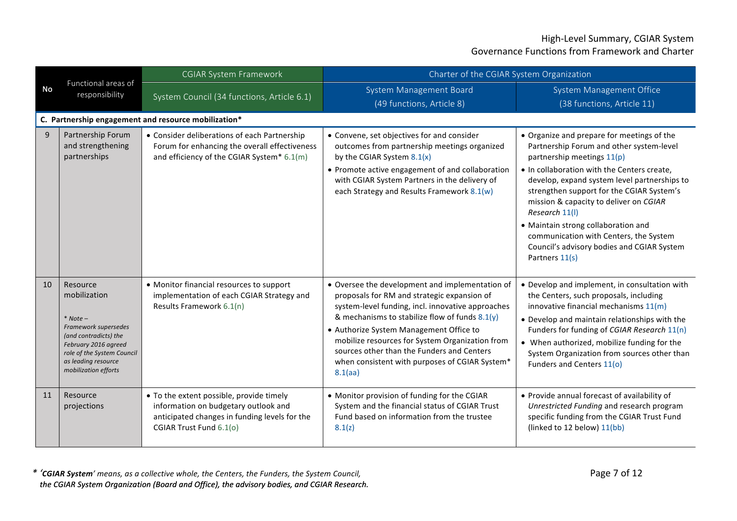|           | Functional areas of<br>responsibility                                                                                                                                                        | <b>CGIAR System Framework</b>                                                                                                                                | Charter of the CGIAR System Organization                                                                                                                                                                                                                                                                                                                                                                            |                                                                                                                                                                                                                                                                                                                                                                                                                                                                               |
|-----------|----------------------------------------------------------------------------------------------------------------------------------------------------------------------------------------------|--------------------------------------------------------------------------------------------------------------------------------------------------------------|---------------------------------------------------------------------------------------------------------------------------------------------------------------------------------------------------------------------------------------------------------------------------------------------------------------------------------------------------------------------------------------------------------------------|-------------------------------------------------------------------------------------------------------------------------------------------------------------------------------------------------------------------------------------------------------------------------------------------------------------------------------------------------------------------------------------------------------------------------------------------------------------------------------|
| <b>No</b> |                                                                                                                                                                                              | System Council (34 functions, Article 6.1)                                                                                                                   | System Management Board<br>(49 functions, Article 8)                                                                                                                                                                                                                                                                                                                                                                | <b>System Management Office</b><br>(38 functions, Article 11)                                                                                                                                                                                                                                                                                                                                                                                                                 |
|           |                                                                                                                                                                                              | C. Partnership engagement and resource mobilization*                                                                                                         |                                                                                                                                                                                                                                                                                                                                                                                                                     |                                                                                                                                                                                                                                                                                                                                                                                                                                                                               |
| 9         | Partnership Forum<br>and strengthening<br>partnerships                                                                                                                                       | • Consider deliberations of each Partnership<br>Forum for enhancing the overall effectiveness<br>and efficiency of the CGIAR System* 6.1(m)                  | • Convene, set objectives for and consider<br>outcomes from partnership meetings organized<br>by the CGIAR System $8.1(x)$<br>• Promote active engagement of and collaboration<br>with CGIAR System Partners in the delivery of<br>each Strategy and Results Framework 8.1(w)                                                                                                                                       | • Organize and prepare for meetings of the<br>Partnership Forum and other system-level<br>partnership meetings 11(p)<br>• In collaboration with the Centers create,<br>develop, expand system level partnerships to<br>strengthen support for the CGIAR System's<br>mission & capacity to deliver on CGIAR<br>Research 11(l)<br>• Maintain strong collaboration and<br>communication with Centers, the System<br>Council's advisory bodies and CGIAR System<br>Partners 11(s) |
| 10        | Resource<br>mobilization<br>$*$ Note –<br>Framework supersedes<br>(and contradicts) the<br>February 2016 agreed<br>role of the System Council<br>as leading resource<br>mobilization efforts | • Monitor financial resources to support<br>implementation of each CGIAR Strategy and<br>Results Framework 6.1(n)                                            | • Oversee the development and implementation of<br>proposals for RM and strategic expansion of<br>system-level funding, incl. innovative approaches<br>& mechanisms to stabilize flow of funds $8.1(y)$<br>• Authorize System Management Office to<br>mobilize resources for System Organization from<br>sources other than the Funders and Centers<br>when consistent with purposes of CGIAR System*<br>$8.1$ (aa) | • Develop and implement, in consultation with<br>the Centers, such proposals, including<br>innovative financial mechanisms $11(m)$<br>• Develop and maintain relationships with the<br>Funders for funding of CGIAR Research 11(n)<br>• When authorized, mobilize funding for the<br>System Organization from sources other than<br>Funders and Centers 11(o)                                                                                                                 |
| 11        | Resource<br>projections                                                                                                                                                                      | • To the extent possible, provide timely<br>information on budgetary outlook and<br>anticipated changes in funding levels for the<br>CGIAR Trust Fund 6.1(o) | • Monitor provision of funding for the CGIAR<br>System and the financial status of CGIAR Trust<br>Fund based on information from the trustee<br>8.1(z)                                                                                                                                                                                                                                                              | • Provide annual forecast of availability of<br>Unrestricted Funding and research program<br>specific funding from the CGIAR Trust Fund<br>(linked to 12 below) 11(bb)                                                                                                                                                                                                                                                                                                        |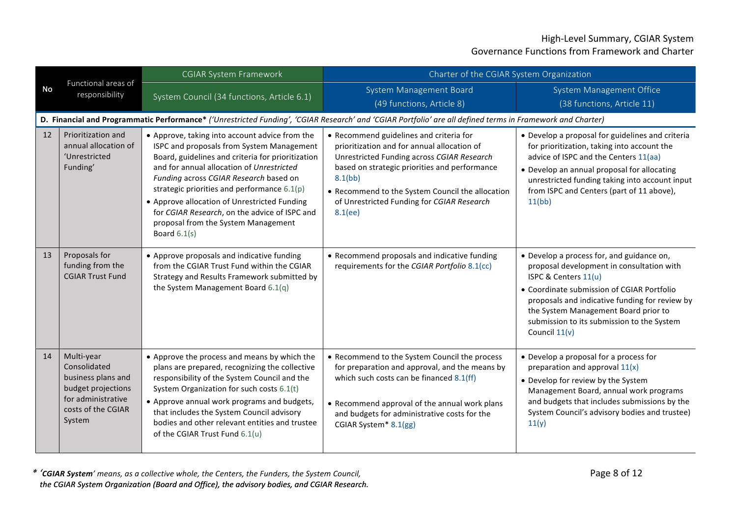|           | Functional areas of<br>responsibility                                                                                        | <b>CGIAR System Framework</b>                                                                                                                                                                                                                                                                                                                                                                                                                      | Charter of the CGIAR System Organization                                                                                                                                                                                                                                                                      |                                                                                                                                                                                                                                                                                                                       |
|-----------|------------------------------------------------------------------------------------------------------------------------------|----------------------------------------------------------------------------------------------------------------------------------------------------------------------------------------------------------------------------------------------------------------------------------------------------------------------------------------------------------------------------------------------------------------------------------------------------|---------------------------------------------------------------------------------------------------------------------------------------------------------------------------------------------------------------------------------------------------------------------------------------------------------------|-----------------------------------------------------------------------------------------------------------------------------------------------------------------------------------------------------------------------------------------------------------------------------------------------------------------------|
| <b>No</b> |                                                                                                                              | System Council (34 functions, Article 6.1)                                                                                                                                                                                                                                                                                                                                                                                                         | System Management Board<br>(49 functions, Article 8)                                                                                                                                                                                                                                                          | <b>System Management Office</b><br>(38 functions, Article 11)                                                                                                                                                                                                                                                         |
|           |                                                                                                                              |                                                                                                                                                                                                                                                                                                                                                                                                                                                    | D. Financial and Programmatic Performance* ('Unrestricted Funding', 'CGIAR Research' and 'CGIAR Portfolio' are all defined terms in Framework and Charter)                                                                                                                                                    |                                                                                                                                                                                                                                                                                                                       |
| 12        | Prioritization and<br>annual allocation of<br>'Unrestricted<br>Funding'                                                      | • Approve, taking into account advice from the<br>ISPC and proposals from System Management<br>Board, guidelines and criteria for prioritization<br>and for annual allocation of Unrestricted<br>Funding across CGIAR Research based on<br>strategic priorities and performance $6.1(p)$<br>• Approve allocation of Unrestricted Funding<br>for CGIAR Research, on the advice of ISPC and<br>proposal from the System Management<br>Board $6.1(s)$ | • Recommend guidelines and criteria for<br>prioritization and for annual allocation of<br>Unrestricted Funding across CGIAR Research<br>based on strategic priorities and performance<br>8.1(bb)<br>• Recommend to the System Council the allocation<br>of Unrestricted Funding for CGIAR Research<br>8.1(ee) | • Develop a proposal for guidelines and criteria<br>for prioritization, taking into account the<br>advice of ISPC and the Centers 11(aa)<br>• Develop an annual proposal for allocating<br>unrestricted funding taking into account input<br>from ISPC and Centers (part of 11 above),<br>11(bb)                      |
| 13        | Proposals for<br>funding from the<br><b>CGIAR Trust Fund</b>                                                                 | • Approve proposals and indicative funding<br>from the CGIAR Trust Fund within the CGIAR<br>Strategy and Results Framework submitted by<br>the System Management Board 6.1(q)                                                                                                                                                                                                                                                                      | • Recommend proposals and indicative funding<br>requirements for the CGIAR Portfolio 8.1(cc)                                                                                                                                                                                                                  | • Develop a process for, and guidance on,<br>proposal development in consultation with<br>ISPC & Centers 11(u)<br>• Coordinate submission of CGIAR Portfolio<br>proposals and indicative funding for review by<br>the System Management Board prior to<br>submission to its submission to the System<br>Council 11(v) |
| 14        | Multi-year<br>Consolidated<br>business plans and<br>budget projections<br>for administrative<br>costs of the CGIAR<br>System | • Approve the process and means by which the<br>plans are prepared, recognizing the collective<br>responsibility of the System Council and the<br>System Organization for such costs 6.1(t)<br>• Approve annual work programs and budgets,<br>that includes the System Council advisory<br>bodies and other relevant entities and trustee<br>of the CGIAR Trust Fund 6.1(u)                                                                        | • Recommend to the System Council the process<br>for preparation and approval, and the means by<br>which such costs can be financed 8.1(ff)<br>• Recommend approval of the annual work plans<br>and budgets for administrative costs for the<br>CGIAR System* 8.1(gg)                                         | • Develop a proposal for a process for<br>preparation and approval $11(x)$<br>• Develop for review by the System<br>Management Board, annual work programs<br>and budgets that includes submissions by the<br>System Council's advisory bodies and trustee)<br>11(y)                                                  |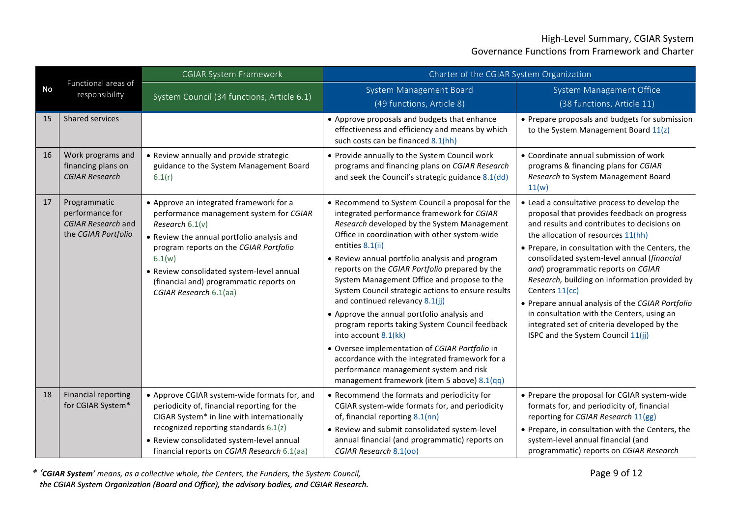|           | Functional areas of<br>responsibility                                               | <b>CGIAR System Framework</b>                                                                                                                                                                                                                                                                                               | Charter of the CGIAR System Organization                                                                                                                                                                                                                                                                                                                                                                                                                                                                                                                                                                                                                                                                                                                                             |                                                                                                                                                                                                                                                                                                                                                                                                                                                                                                                                                                                     |
|-----------|-------------------------------------------------------------------------------------|-----------------------------------------------------------------------------------------------------------------------------------------------------------------------------------------------------------------------------------------------------------------------------------------------------------------------------|--------------------------------------------------------------------------------------------------------------------------------------------------------------------------------------------------------------------------------------------------------------------------------------------------------------------------------------------------------------------------------------------------------------------------------------------------------------------------------------------------------------------------------------------------------------------------------------------------------------------------------------------------------------------------------------------------------------------------------------------------------------------------------------|-------------------------------------------------------------------------------------------------------------------------------------------------------------------------------------------------------------------------------------------------------------------------------------------------------------------------------------------------------------------------------------------------------------------------------------------------------------------------------------------------------------------------------------------------------------------------------------|
| <b>No</b> |                                                                                     | System Council (34 functions, Article 6.1)                                                                                                                                                                                                                                                                                  | System Management Board<br>(49 functions, Article 8)                                                                                                                                                                                                                                                                                                                                                                                                                                                                                                                                                                                                                                                                                                                                 | System Management Office<br>(38 functions, Article 11)                                                                                                                                                                                                                                                                                                                                                                                                                                                                                                                              |
| 15        | Shared services                                                                     |                                                                                                                                                                                                                                                                                                                             | • Approve proposals and budgets that enhance<br>effectiveness and efficiency and means by which<br>such costs can be financed 8.1(hh)                                                                                                                                                                                                                                                                                                                                                                                                                                                                                                                                                                                                                                                | • Prepare proposals and budgets for submission<br>to the System Management Board 11(z)                                                                                                                                                                                                                                                                                                                                                                                                                                                                                              |
| 16        | Work programs and<br>financing plans on<br><b>CGIAR Research</b>                    | • Review annually and provide strategic<br>guidance to the System Management Board<br>6.1(r)                                                                                                                                                                                                                                | • Provide annually to the System Council work<br>programs and financing plans on CGIAR Research<br>and seek the Council's strategic guidance 8.1(dd)                                                                                                                                                                                                                                                                                                                                                                                                                                                                                                                                                                                                                                 | • Coordinate annual submission of work<br>programs & financing plans for CGIAR<br>Research to System Management Board<br>11(w)                                                                                                                                                                                                                                                                                                                                                                                                                                                      |
| 17        | Programmatic<br>performance for<br><b>CGIAR Research and</b><br>the CGIAR Portfolio | • Approve an integrated framework for a<br>performance management system for CGIAR<br>Research $6.1(v)$<br>• Review the annual portfolio analysis and<br>program reports on the CGIAR Portfolio<br>6.1(w)<br>• Review consolidated system-level annual<br>(financial and) programmatic reports on<br>CGIAR Research 6.1(aa) | • Recommend to System Council a proposal for the<br>integrated performance framework for CGIAR<br>Research developed by the System Management<br>Office in coordination with other system-wide<br>entities 8.1(ii)<br>• Review annual portfolio analysis and program<br>reports on the CGIAR Portfolio prepared by the<br>System Management Office and propose to the<br>System Council strategic actions to ensure results<br>and continued relevancy 8.1(jj)<br>• Approve the annual portfolio analysis and<br>program reports taking System Council feedback<br>into account 8.1(kk)<br>· Oversee implementation of CGIAR Portfolio in<br>accordance with the integrated framework for a<br>performance management system and risk<br>management framework (item 5 above) 8.1(qq) | • Lead a consultative process to develop the<br>proposal that provides feedback on progress<br>and results and contributes to decisions on<br>the allocation of resources 11(hh)<br>• Prepare, in consultation with the Centers, the<br>consolidated system-level annual (financial<br>and) programmatic reports on CGIAR<br>Research, building on information provided by<br>Centers 11(cc)<br>• Prepare annual analysis of the CGIAR Portfolio<br>in consultation with the Centers, using an<br>integrated set of criteria developed by the<br>ISPC and the System Council 11(jj) |
| 18        | <b>Financial reporting</b><br>for CGIAR System*                                     | • Approve CGIAR system-wide formats for, and<br>periodicity of, financial reporting for the<br>CIGAR System* in line with internationally<br>recognized reporting standards 6.1(z)<br>• Review consolidated system-level annual<br>financial reports on CGIAR Research 6.1(aa)                                              | • Recommend the formats and periodicity for<br>CGIAR system-wide formats for, and periodicity<br>of, financial reporting 8.1(nn)<br>• Review and submit consolidated system-level<br>annual financial (and programmatic) reports on<br>CGIAR Research 8.1(00)                                                                                                                                                                                                                                                                                                                                                                                                                                                                                                                        | • Prepare the proposal for CGIAR system-wide<br>formats for, and periodicity of, financial<br>reporting for CGIAR Research 11(gg)<br>• Prepare, in consultation with the Centers, the<br>system-level annual financial (and<br>programmatic) reports on CGIAR Research                                                                                                                                                                                                                                                                                                              |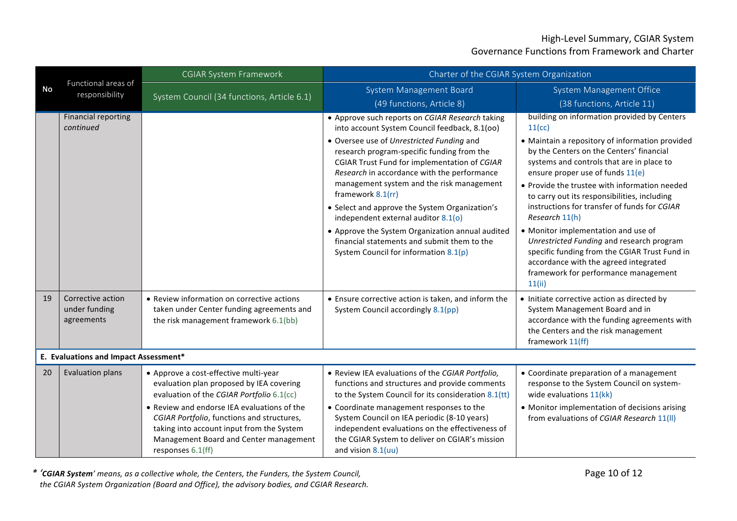|           | Functional areas of<br>responsibility            | <b>CGIAR System Framework</b>                                                                                                                                                                                                                                                                                                           | Charter of the CGIAR System Organization                                                                                                                                                                                                                                                                                                                                                                                                                                                                                                                                                          |                                                                                                                                                                                                                                                                                                                                                                                                                                                                                                                                                                                                                                          |  |
|-----------|--------------------------------------------------|-----------------------------------------------------------------------------------------------------------------------------------------------------------------------------------------------------------------------------------------------------------------------------------------------------------------------------------------|---------------------------------------------------------------------------------------------------------------------------------------------------------------------------------------------------------------------------------------------------------------------------------------------------------------------------------------------------------------------------------------------------------------------------------------------------------------------------------------------------------------------------------------------------------------------------------------------------|------------------------------------------------------------------------------------------------------------------------------------------------------------------------------------------------------------------------------------------------------------------------------------------------------------------------------------------------------------------------------------------------------------------------------------------------------------------------------------------------------------------------------------------------------------------------------------------------------------------------------------------|--|
| <b>No</b> |                                                  | System Council (34 functions, Article 6.1)                                                                                                                                                                                                                                                                                              | System Management Board<br>(49 functions, Article 8)                                                                                                                                                                                                                                                                                                                                                                                                                                                                                                                                              | System Management Office<br>(38 functions, Article 11)                                                                                                                                                                                                                                                                                                                                                                                                                                                                                                                                                                                   |  |
|           | <b>Financial reporting</b><br>continued          |                                                                                                                                                                                                                                                                                                                                         | • Approve such reports on CGIAR Research taking<br>into account System Council feedback, 8.1(00)<br>· Oversee use of Unrestricted Funding and<br>research program-specific funding from the<br>CGIAR Trust Fund for implementation of CGIAR<br>Research in accordance with the performance<br>management system and the risk management<br>framework 8.1(rr)<br>• Select and approve the System Organization's<br>independent external auditor 8.1(o)<br>• Approve the System Organization annual audited<br>financial statements and submit them to the<br>System Council for information 8.1(p) | building on information provided by Centers<br>11(cc)<br>• Maintain a repository of information provided<br>by the Centers on the Centers' financial<br>systems and controls that are in place to<br>ensure proper use of funds 11(e)<br>• Provide the trustee with information needed<br>to carry out its responsibilities, including<br>instructions for transfer of funds for CGIAR<br>Research 11(h)<br>• Monitor implementation and use of<br>Unrestricted Funding and research program<br>specific funding from the CGIAR Trust Fund in<br>accordance with the agreed integrated<br>framework for performance management<br>11(ii) |  |
| 19        | Corrective action<br>under funding<br>agreements | • Review information on corrective actions<br>taken under Center funding agreements and<br>the risk management framework 6.1(bb)                                                                                                                                                                                                        | • Ensure corrective action is taken, and inform the<br>System Council accordingly 8.1(pp)                                                                                                                                                                                                                                                                                                                                                                                                                                                                                                         | • Initiate corrective action as directed by<br>System Management Board and in<br>accordance with the funding agreements with<br>the Centers and the risk management<br>framework 11(ff)                                                                                                                                                                                                                                                                                                                                                                                                                                                  |  |
|           | E. Evaluations and Impact Assessment*            |                                                                                                                                                                                                                                                                                                                                         |                                                                                                                                                                                                                                                                                                                                                                                                                                                                                                                                                                                                   |                                                                                                                                                                                                                                                                                                                                                                                                                                                                                                                                                                                                                                          |  |
| 20        | <b>Evaluation plans</b>                          | • Approve a cost-effective multi-year<br>evaluation plan proposed by IEA covering<br>evaluation of the CGIAR Portfolio 6.1(cc)<br>• Review and endorse IEA evaluations of the<br>CGIAR Portfolio, functions and structures,<br>taking into account input from the System<br>Management Board and Center management<br>responses 6.1(ff) | • Review IEA evaluations of the CGIAR Portfolio,<br>functions and structures and provide comments<br>to the System Council for its consideration 8.1(tt)<br>• Coordinate management responses to the<br>System Council on IEA periodic (8-10 years)<br>independent evaluations on the effectiveness of<br>the CGIAR System to deliver on CGIAR's mission<br>and vision $8.1$ (uu)                                                                                                                                                                                                                 | • Coordinate preparation of a management<br>response to the System Council on system-<br>wide evaluations 11(kk)<br>• Monitor implementation of decisions arising<br>from evaluations of CGIAR Research 11(II)                                                                                                                                                                                                                                                                                                                                                                                                                           |  |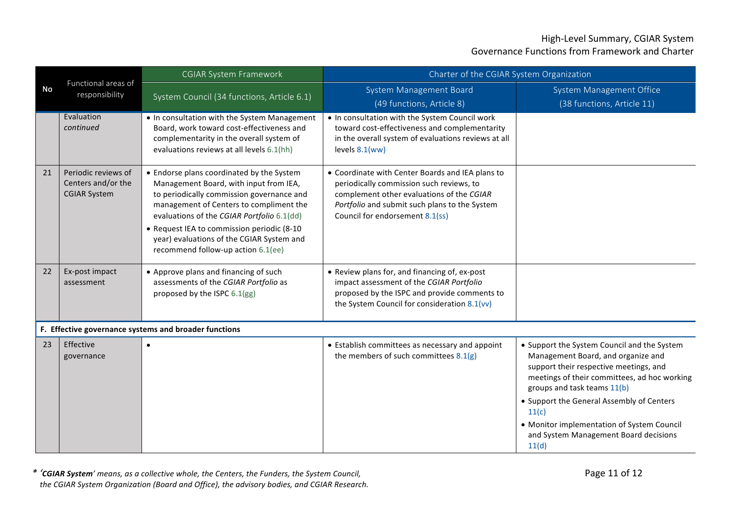|    |                                                                  | <b>CGIAR System Framework</b>                                                                                                                                                                                                                                                                                                                              | Charter of the CGIAR System Organization                                                                                                                                                                                      |                                                                                                                                                                                                                                                                                                                                                                  |
|----|------------------------------------------------------------------|------------------------------------------------------------------------------------------------------------------------------------------------------------------------------------------------------------------------------------------------------------------------------------------------------------------------------------------------------------|-------------------------------------------------------------------------------------------------------------------------------------------------------------------------------------------------------------------------------|------------------------------------------------------------------------------------------------------------------------------------------------------------------------------------------------------------------------------------------------------------------------------------------------------------------------------------------------------------------|
| No | Functional areas of<br>responsibility                            | System Council (34 functions, Article 6.1)                                                                                                                                                                                                                                                                                                                 | System Management Board<br>(49 functions, Article 8)                                                                                                                                                                          | System Management Office<br>(38 functions, Article 11)                                                                                                                                                                                                                                                                                                           |
|    | Evaluation<br>continued                                          | . In consultation with the System Management<br>Board, work toward cost-effectiveness and<br>complementarity in the overall system of<br>evaluations reviews at all levels 6.1(hh)                                                                                                                                                                         | . In consultation with the System Council work<br>toward cost-effectiveness and complementarity<br>in the overall system of evaluations reviews at all<br>levels $8.1$ (ww)                                                   |                                                                                                                                                                                                                                                                                                                                                                  |
| 21 | Periodic reviews of<br>Centers and/or the<br><b>CGIAR System</b> | • Endorse plans coordinated by the System<br>Management Board, with input from IEA,<br>to periodically commission governance and<br>management of Centers to compliment the<br>evaluations of the CGIAR Portfolio 6.1(dd)<br>• Request IEA to commission periodic (8-10<br>year) evaluations of the CGIAR System and<br>recommend follow-up action 6.1(ee) | • Coordinate with Center Boards and IEA plans to<br>periodically commission such reviews, to<br>complement other evaluations of the CGIAR<br>Portfolio and submit such plans to the System<br>Council for endorsement 8.1(ss) |                                                                                                                                                                                                                                                                                                                                                                  |
| 22 | Ex-post impact<br>assessment                                     | • Approve plans and financing of such<br>assessments of the CGIAR Portfolio as<br>proposed by the ISPC 6.1(gg)                                                                                                                                                                                                                                             | • Review plans for, and financing of, ex-post<br>impact assessment of the CGIAR Portfolio<br>proposed by the ISPC and provide comments to<br>the System Council for consideration 8.1(vv)                                     |                                                                                                                                                                                                                                                                                                                                                                  |
|    |                                                                  | F. Effective governance systems and broader functions                                                                                                                                                                                                                                                                                                      |                                                                                                                                                                                                                               |                                                                                                                                                                                                                                                                                                                                                                  |
| 23 | Effective<br>governance                                          | $\bullet$                                                                                                                                                                                                                                                                                                                                                  | • Establish committees as necessary and appoint<br>the members of such committees 8.1(g)                                                                                                                                      | • Support the System Council and the System<br>Management Board, and organize and<br>support their respective meetings, and<br>meetings of their committees, ad hoc working<br>groups and task teams 11(b)<br>• Support the General Assembly of Centers<br>11(c)<br>• Monitor implementation of System Council<br>and System Management Board decisions<br>11(d) |